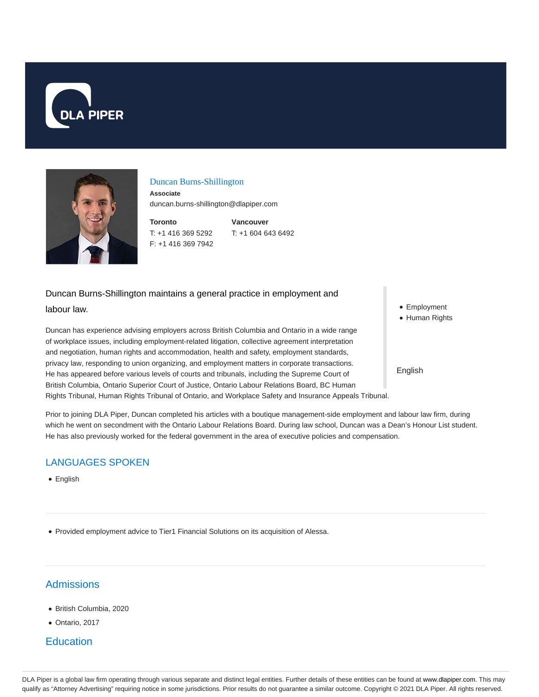



### Duncan Burns-Shillington

**Associate** duncan.burns-shillington@dlapiper.com

**Toronto** T: +1 416 369 5292 F: +1 416 369 7942

**Vancouver** T: +1 604 643 6492

## Duncan Burns-Shillington maintains a general practice in employment and

labour law.

Duncan has experience advising employers across British Columbia and Ontario in a wide range of workplace issues, including employment-related litigation, collective agreement interpretation and negotiation, human rights and accommodation, health and safety, employment standards, privacy law, responding to union organizing, and employment matters in corporate transactions. He has appeared before various levels of courts and tribunals, including the Supreme Court of British Columbia, Ontario Superior Court of Justice, Ontario Labour Relations Board, BC Human Rights Tribunal, Human Rights Tribunal of Ontario, and Workplace Safety and Insurance Appeals Tribunal. • Employment

• Human Rights

English

Prior to joining DLA Piper, Duncan completed his articles with a boutique management-side employment and labour law firm, during which he went on secondment with the Ontario Labour Relations Board. During law school, Duncan was a Dean's Honour List student. He has also previously worked for the federal government in the area of executive policies and compensation.

# LANGUAGES SPOKEN

• English

Provided employment advice to Tier1 Financial Solutions on its acquisition of Alessa.

# **Admissions**

- British Columbia, 2020
- Ontario, 2017

## **Education**

DLA Piper is a global law firm operating through various separate and distinct legal entities. Further details of these entities can be found at www.dlapiper.com. This may qualify as "Attorney Advertising" requiring notice in some jurisdictions. Prior results do not guarantee a similar outcome. Copyright @ 2021 DLA Piper. All rights reserved.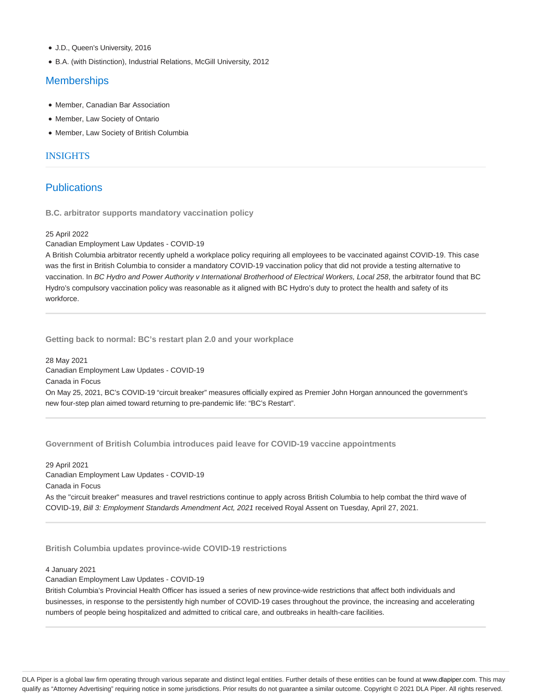- J.D., Queen's University, 2016
- B.A. (with Distinction), Industrial Relations, McGill University, 2012

## **Memberships**

- Member, Canadian Bar Association
- Member, Law Society of Ontario
- Member, Law Society of British Columbia

### INSIGHTS

## **Publications**

**B.C. arbitrator supports mandatory vaccination policy**

### 25 April 2022

### Canadian Employment Law Updates - COVID-19

A British Columbia arbitrator recently upheld a workplace policy requiring all employees to be vaccinated against COVID-19. This case was the first in British Columbia to consider a mandatory COVID-19 vaccination policy that did not provide a testing alternative to vaccination. In BC Hydro and Power Authority v International Brotherhood of Electrical Workers, Local 258, the arbitrator found that BC Hydro's compulsory vaccination policy was reasonable as it aligned with BC Hydro's duty to protect the health and safety of its workforce.

**Getting back to normal: BC's restart plan 2.0 and your workplace**

28 May 2021 Canadian Employment Law Updates - COVID-19 Canada in Focus On May 25, 2021, BC's COVID-19 "circuit breaker" measures officially expired as Premier John Horgan announced the government's new four-step plan aimed toward returning to pre-pandemic life: "BC's Restart".

**Government of British Columbia introduces paid leave for COVID-19 vaccine appointments**

29 April 2021 Canadian Employment Law Updates - COVID-19 Canada in Focus As the "circuit breaker" measures and travel restrictions continue to apply across British Columbia to help combat the third wave of COVID-19, Bill 3: Employment Standards Amendment Act, 2021 received Royal Assent on Tuesday, April 27, 2021.

**British Columbia updates province-wide COVID-19 restrictions**

#### 4 January 2021

Canadian Employment Law Updates - COVID-19

British Columbia's Provincial Health Officer has issued a series of new province-wide restrictions that affect both individuals and businesses, in response to the persistently high number of COVID-19 cases throughout the province, the increasing and accelerating numbers of people being hospitalized and admitted to critical care, and outbreaks in health-care facilities.